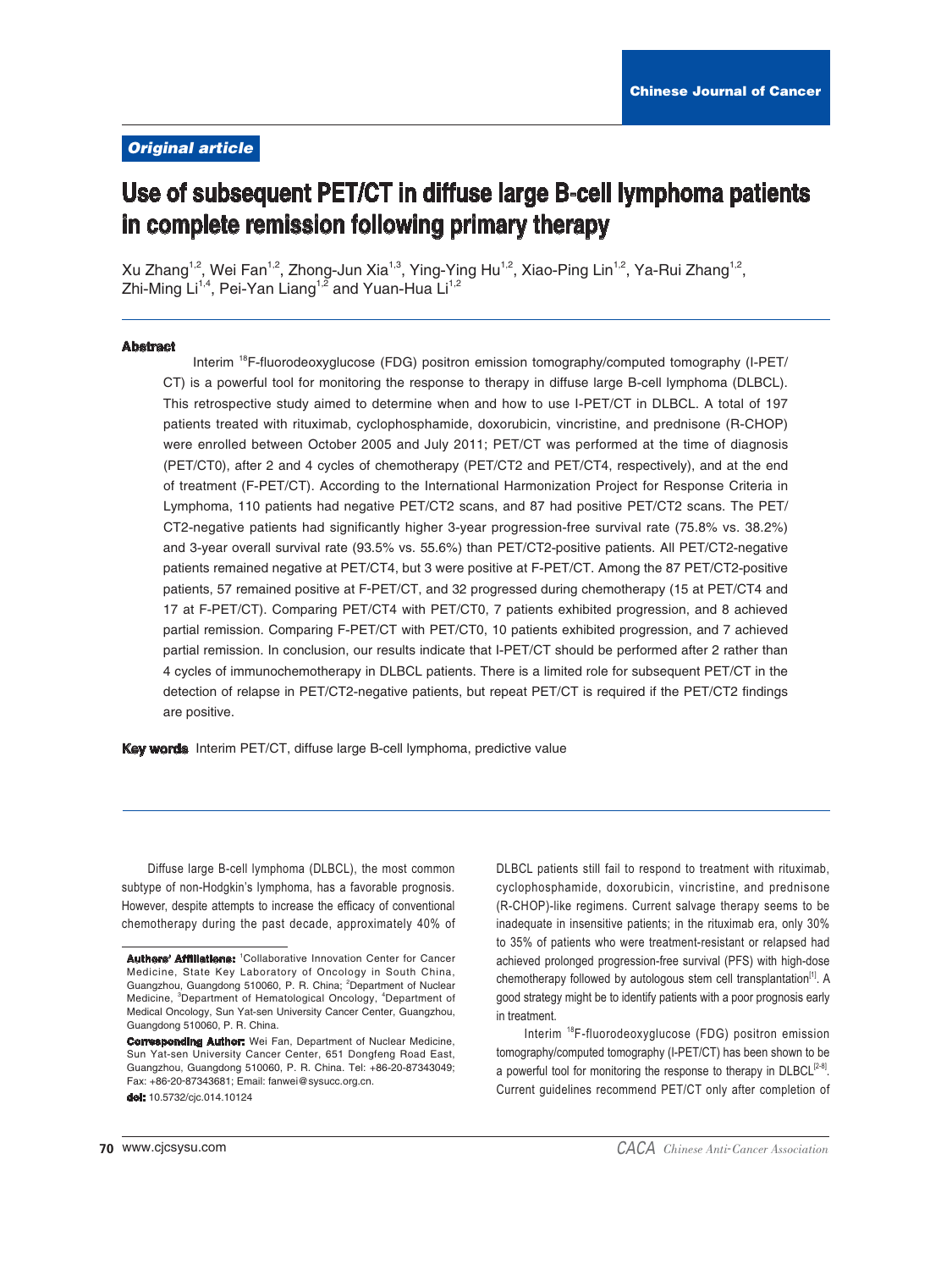# **Original article**

# Use of subsequent PET/CT in diffuse large B-cell lymphoma patients in complete remission following primary therapy

Xu Zhang<sup>1,2</sup>, Wei Fan<sup>1,2</sup>, Zhong-Jun Xia<sup>1,3</sup>, Ying-Ying Hu<sup>1,2</sup>, Xiao-Ping Lin<sup>1,2</sup>, Ya-Rui Zhang<sup>1,2</sup>, Zhi-Ming Li<sup>1,4</sup>, Pei-Yan Liang<sup>1,2</sup> and Yuan-Hua Li<sup>1,2</sup>

#### **Abstract**

Interim <sup>18</sup>F-fluorodeoxyglucose (FDG) positron emission tomography/computed tomography (I-PET/ CT) is a powerful tool for monitoring the response to therapy in diffuse large B-cell lymphoma (DLBCL). This retrospective study aimed to determine when and how to use I-PET/CT in DLBCL. A total of 197 patients treated with rituximab, cyclophosphamide, doxorubicin, vincristine, and prednisone (R-CHOP) were enrolled between October 2005 and July 2011; PET/CT was performed at the time of diagnosis (PET/CT0), after 2 and 4 cycles of chemotherapy (PET/CT2 and PET/CT4, respectively), and at the end of treatment (F-PET/CT). According to the International Harmonization Project for Response Criteria in Lymphoma, 110 patients had negative PET/CT2 scans, and 87 had positive PET/CT2 scans. The PET/ CT2-negative patients had significantly higher 3-year progression-free survival rate (75.8% vs. 38.2%) and 3-year overall survival rate (93.5% vs. 55.6%) than PET/CT2-positive patients. All PET/CT2-negative patients remained negative at PET/CT4, but 3 were positive at F-PET/CT. Among the 87 PET/CT2-positive patients, 57 remained positive at F-PET/CT, and 32 progressed during chemotherapy (15 at PET/CT4 and 17 at F-PET/CT). Comparing PET/CT4 with PET/CT0, 7 patients exhibited progression, and 8 achieved partial remission. Comparing F-PET/CT with PET/CT0, 10 patients exhibited progression, and 7 achieved partial remission. In conclusion, our results indicate that I-PET/CT should be performed after 2 rather than 4 cycles of immunochemotherapy in DLBCL patients. There is a limited role for subsequent PET/CT in the detection of relapse in PET/CT2-negative patients, but repeat PET/CT is required if the PET/CT2 findings are positive.

Key words Interim PET/CT, diffuse large B-cell lymphoma, predictive value

Diffuse large B-cell lymphoma (DLBCL), the most common subtype of non-Hodgkin's lymphoma, has a favorable prognosis. However, despite attempts to increase the efficacy of conventional chemotherapy during the past decade, approximately 40% of DLBCL patients still fail to respond to treatment with rituximab. cyclophosphamide, doxorubicin, vincristine, and prednisone (R-CHOP)-like regimens. Current salvage therapy seems to be inadequate in insensitive patients; in the rituximab era, only 30% to 35% of patients who were treatment-resistant or relapsed had achieved prolonged progression-free survival (PFS) with high-dose chemotherapy followed by autologous stem cell transplantation<sup>[1]</sup>. A good strategy might be to identify patients with a poor prognosis early in treatment.

Interim<sup>18</sup>F-fluorodeoxyglucose (FDG) positron emission tomography/computed tomography (I-PET/CT) has been shown to be a powerful tool for monitoring the response to therapy in DLBCL<sup>[2-8]</sup>. Current quidelines recommend PET/CT only after completion of

**Authors' Affiliations:** <sup>1</sup>Collaborative Innovation Center for Cancer Medicine, State Key Laboratory of Oncology in South China, Guangzhou, Guangdong 510060, P. R. China; <sup>2</sup>Department of Nuclear Medicine, <sup>3</sup>Department of Hematological Oncology, <sup>4</sup>Department of Medical Oncology, Sun Yat-sen University Cancer Center, Guangzhou, Guangdong 510060, P. R. China.

**Corresponding Author:** Wei Fan, Department of Nuclear Medicine, Sun Yat-sen University Cancer Center, 651 Dongfeng Road East, Guangzhou, Guangdong 510060, P. R. China, Tel: +86-20-87343049: Fax: +86-20-87343681; Email: fanwei@sysucc.org.cn. dol: 10.5732/cjc.014.10124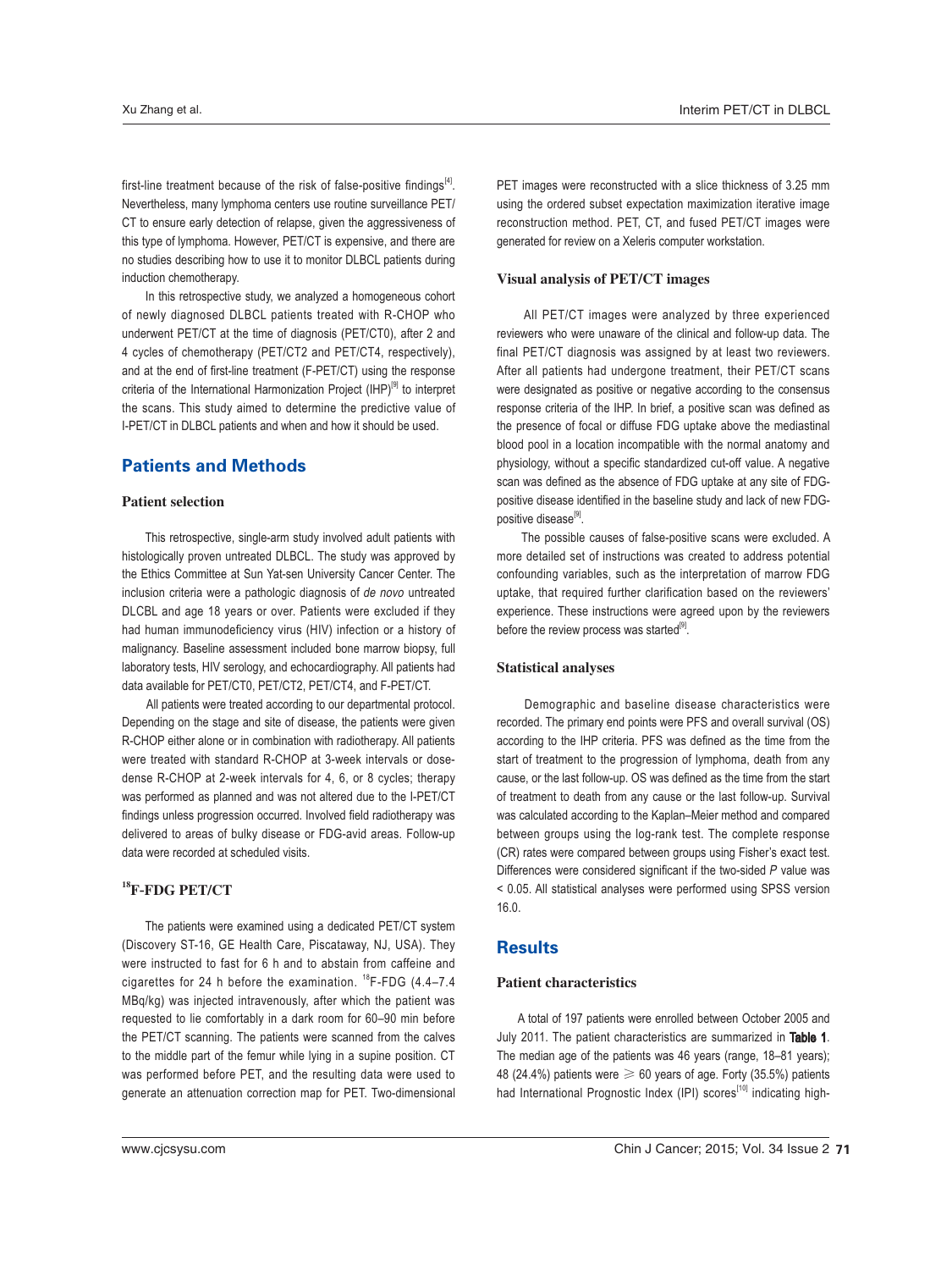first-line treatment because of the risk of false-positive findings<sup>[4]</sup>. Nevertheless, many lymphoma centers use routine surveillance PET/ CT to ensure early detection of relapse, given the aggressiveness of this type of lymphoma. However, PET/CT is expensive, and there are no studies describing how to use it to monitor DLBCL patients during induction chemotherapy.

 In this retrospective study, we analyzed a homogeneous cohort of newly diagnosed DLBCL patients treated with R-CHOP who underwent PET/CT at the time of diagnosis (PET/CT0), after 2 and 4 cycles of chemotherapy (PET/CT2 and PET/CT4, respectively), and at the end of first-line treatment (F-PET/CT) using the response criteria of the International Harmonization Project (IHP)<sup>[9]</sup> to interpret the scans. This study aimed to determine the predictive value of I-PET/CT in DLBCL patients and when and how it should be used.

# **Patients and Methods**

## Patient selection

 This retrospective, single-arm study involved adult patients with histologically proven untreated DLBCL. The study was approved by the Ethics Committee at Sun Yat-sen University Cancer Center. The inclusion criteria were a pathologic diagnosis of de novo untreated DLCBL and age 18 years or over. Patients were excluded if they had human immunodeficiency virus (HIV) infection or a history of malignancy. Baseline assessment included bone marrow biopsy, full laboratory tests, HIV serology, and echocardiography. All patients had data available for PET/CT0, PET/CT2, PET/CT4, and F-PET/CT.

 All patients were treated according to our departmental protocol. Depending on the stage and site of disease, the patients were given R-CHOP either alone or in combination with radiotherapy. All patients were treated with standard R-CHOP at 3-week intervals or dosedense R-CHOP at 2-week intervals for 4, 6, or 8 cycles; therapy was performed as planned and was not altered due to the I-PET/CT findings unless progression occurred. Involved field radiotherapy was delivered to areas of bulky disease or FDG-avid areas. Follow-up data were recorded at scheduled visits.

### $^{18}$ F-FDG PET/CT

 The patients were examined using a dedicated PET/CT system (Discovery ST-16, GE Health Care, Piscataway, NJ, USA). They were instructed to fast for 6 h and to abstain from caffeine and cigarettes for 24 h before the examination.  $^{18}$ F-FDG (4.4–7.4) MBq/kg) was injected intravenously, after which the patient was requested to lie comfortably in a dark room for 60–90 min before the PET/CT scanning. The patients were scanned from the calves to the middle part of the femur while lying in a supine position. CT was performed before PET, and the resulting data were used to generate an attenuation correction map for PET. Two-dimensional

PET images were reconstructed with a slice thickness of 3.25 mm using the ordered subset expectation maximization iterative image reconstruction method. PET, CT, and fused PET/CT images were generated for review on a Xeleris computer workstation.

#### Visual analysis of PET/CT images

 All PET/CT images were analyzed by three experienced reviewers who were unaware of the clinical and follow-up data. The final PET/CT diagnosis was assigned by at least two reviewers. After all patients had undergone treatment, their PET/CT scans were designated as positive or negative according to the consensus response criteria of the IHP. In brief, a positive scan was defined as the presence of focal or diffuse FDG uptake above the mediastinal blood pool in a location incompatible with the normal anatomy and physiology, without a specific standardized cut-off value. A negative scan was defined as the absence of FDG uptake at any site of FDGpositive disease identified in the baseline study and lack of new FDGpositive disease<sup>[9]</sup>.

 The possible causes of false-positive scans were excluded. A more detailed set of instructions was created to address potential confounding variables, such as the interpretation of marrow FDG uptake, that required further clarification based on the reviewers' experience. These instructions were agreed upon by the reviewers before the review process was started $[9]$ .

#### Statistical analyses

 Demographic and baseline disease characteristics were recorded. The primary end points were PFS and overall survival (OS) according to the IHP criteria. PFS was defined as the time from the start of treatment to the progression of lymphoma, death from any cause, or the last follow-up. OS was defined as the time from the start of treatment to death from any cause or the last follow-up. Survival was calculated according to the Kaplan–Meier method and compared between groups using the log-rank test. The complete response (CR) rates were compared between groups using Fisher's exact test. Differences were considered significant if the two-sided  $P$  value was < 0.05. All statistical analyses were performed using SPSS version 16.0.

# Results

#### Patient characteristics

 A total of 197 patients were enrolled between October 2005 and July 2011. The patient characteristics are summarized in Table 1. The median age of the patients was 46 years (range, 18–81 years); 48 (24.4%) patients were  $\geq 60$  years of age. Forty (35.5%) patients had International Prognostic Index (IPI) scores<sup>[10]</sup> indicating high-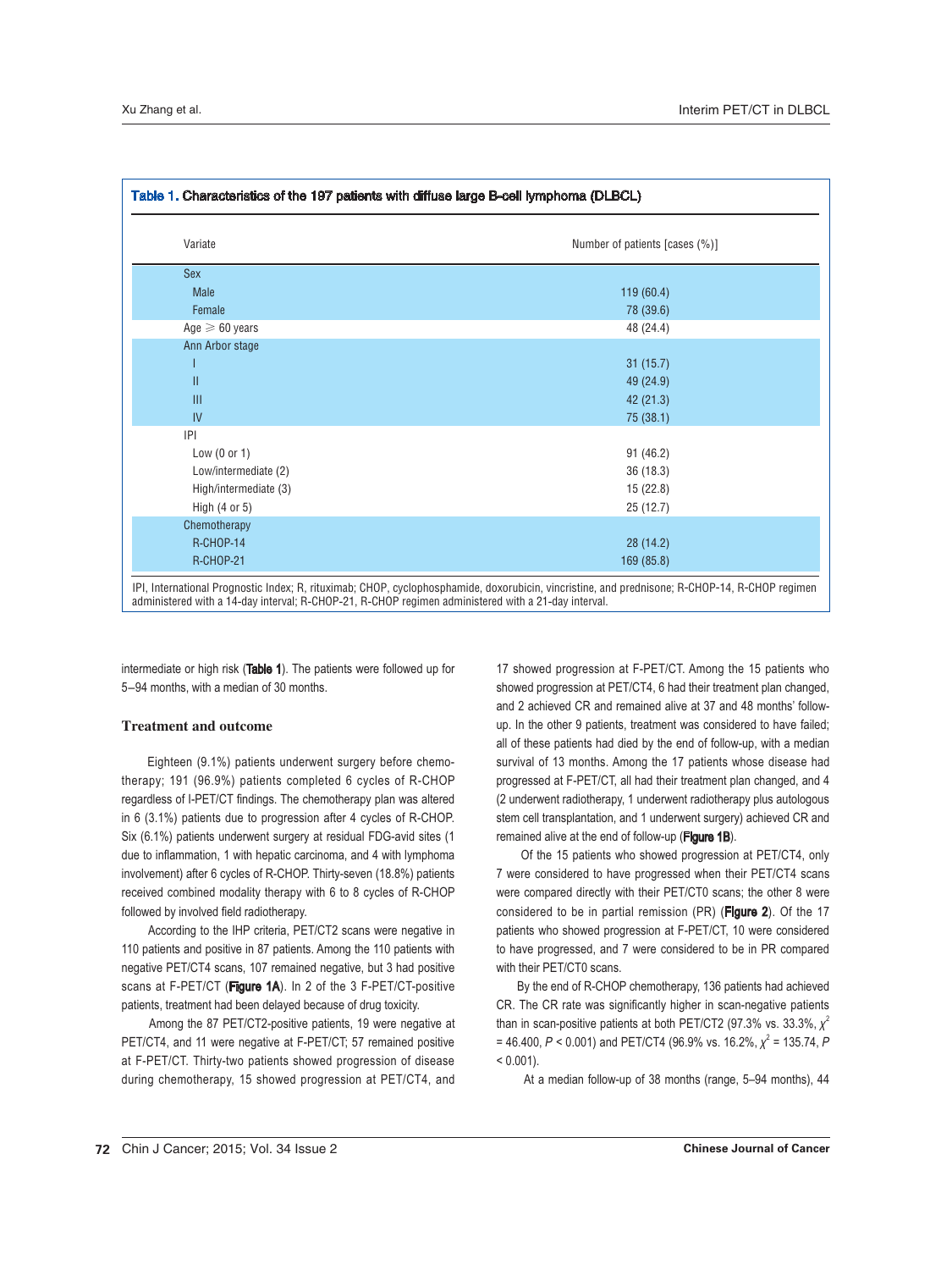| Variate               | Number of patients [cases (%)] |
|-----------------------|--------------------------------|
| <b>Sex</b>            |                                |
| <b>Male</b>           | 119 (60.4)                     |
| Female                | 78 (39.6)                      |
| Age $\geq 60$ years   | 48 (24.4)                      |
| Ann Arbor stage       |                                |
|                       | 31(15.7)                       |
| $\mathbf{II}$         | 49 (24.9)                      |
| III                   | 42 (21.3)                      |
| IV                    | 75 (38.1)                      |
| P                     |                                |
| Low $(0 or 1)$        | 91 (46.2)                      |
| Low/intermediate (2)  | 36 (18.3)                      |
| High/intermediate (3) | 15 (22.8)                      |
| High $(4$ or $5)$     | 25 (12.7)                      |
| Chemotherapy          |                                |
| R-CHOP-14             | 28 (14.2)                      |
| <b>R-CHOP-21</b>      | 169 (85.8)                     |

administered with a 14-day interval; R-CHOP-21, R-CHOP regimen administered with a 21-day interval.

intermediate or high risk (Table 1). The patients were followed up for 5-94 months, with a median of 30 months.

## Treatment and outcome

 Eighteen (9.1%) patients underwent surgery before chemotherapy; 191 (96.9%) patients completed 6 cycles of R-CHOP regardless of I-PET/CT findings. The chemotherapy plan was altered in 6 (3.1%) patients due to progression after 4 cycles of R-CHOP. Six (6.1%) patients underwent surgery at residual FDG-avid sites (1 due to inflammation, 1 with hepatic carcinoma, and 4 with lymphoma involvement) after 6 cycles of R-CHOP. Thirty-seven (18.8%) patients received combined modality therapy with 6 to 8 cycles of R-CHOP followed by involved field radiotherapy.

 According to the IHP criteria, PET/CT2 scans were negative in 110 patients and positive in 87 patients. Among the 110 patients with negative PET/CT4 scans, 107 remained negative, but 3 had positive scans at F-PET/CT (Figure 1A). In 2 of the 3 F-PET/CT-positive patients, treatment had been delayed because of drug toxicity.

 Among the 87 PET/CT2-positive patients, 19 were negative at PET/CT4, and 11 were negative at F-PET/CT; 57 remained positive at F-PET/CT. Thirty-two patients showed progression of disease during chemotherapy, 15 showed progression at PET/CT4, and

17 showed progression at F-PET/CT. Among the 15 patients who showed progression at PET/CT4, 6 had their treatment plan changed, and 2 achieved CR and remained alive at 37 and 48 months' followup. In the other 9 patients, treatment was considered to have failed; all of these patients had died by the end of follow-up, with a median survival of 13 months. Among the 17 patients whose disease had progressed at F-PET/CT, all had their treatment plan changed, and 4 (2 underwent radiotherapy, 1 underwent radiotherapy plus autologous stem cell transplantation, and 1 underwent surgery) achieved CR and remained alive at the end of follow-up (Figure 1B).

 Of the 15 patients who showed progression at PET/CT4, only 7 were considered to have progressed when their PET/CT4 scans were compared directly with their PET/CT0 scans; the other 8 were considered to be in partial remission (PR) (Figure 2). Of the 17 patients who showed progression at F-PET/CT, 10 were considered to have progressed, and 7 were considered to be in PR compared with their PET/CT0 scans.

 By the end of R-CHOP chemotherapy, 136 patients had achieved CR. The CR rate was significantly higher in scan-negative patients than in scan-positive patients at both PET/CT2 (97.3% vs. 33.3%,  $\chi^2$ = 46.400,  $P$  < 0.001) and PET/CT4 (96.9% vs. 16.2%,  $\chi^2$  = 135.74,  $P$  $< 0.001$ ).

At a median follow-up of 38 months (range, 5–94 months), 44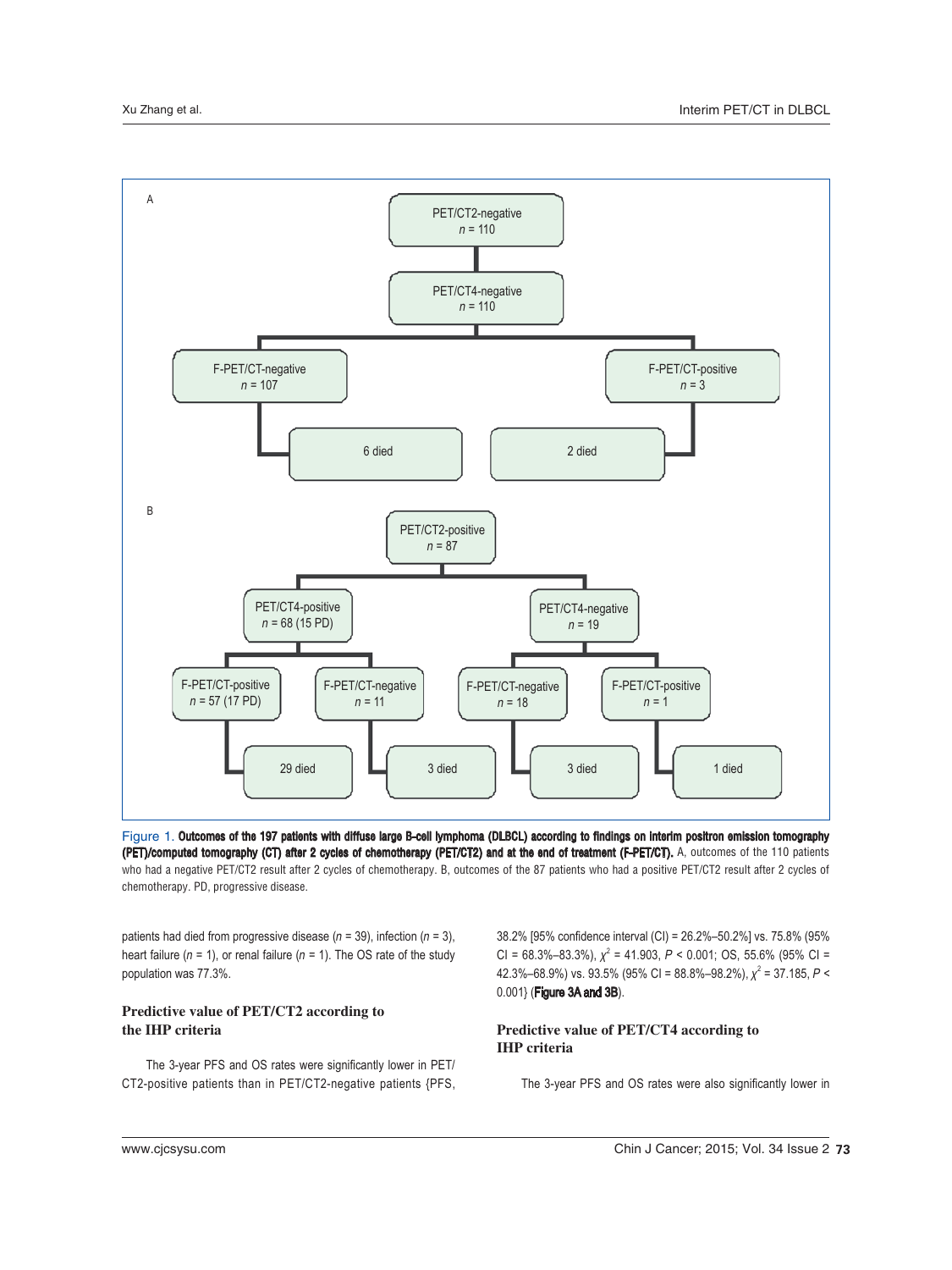

Figure 1. Outcomes of the 197 patients with diffuse large B-cell lymphoma (DLBCL) according to findings on interim positron emission tomography (PET)/computed tomography (CT) after 2 cycles of chemotherapy (PET/CT2) and at the end of treatment (F-PET/CT). A, outcomes of the 110 patients who had a negative PET/CT2 result after 2 cycles of chemotherapy. B, outcomes of the 87 patients who had a positive PET/CT2 result after 2 cycles of chemotherapy. PD, progressive disease.

patients had died from progressive disease ( $n = 39$ ), infection ( $n = 3$ ), heart failure ( $n = 1$ ), or renal failure ( $n = 1$ ). The OS rate of the study population was 77.3%.

## Predictive value of PET/CT2 according to the IHP criteria

The 3-year PFS and OS rates were significantly lower in PET/ CT2-positive patients than in PET/CT2-negative patients {PFS,

38.2% [95% confidence interval (CI) = 26.2%–50.2%] vs. 75.8% (95% CI = 68.3%–83.3%),  $\chi^2$  = 41.903, P < 0.001; OS, 55.6% (95% CI = 42.3%–68.9%) vs. 93.5% (95% CI = 88.8%–98.2%),  $\chi^2$  = 37.185, P < 0.001} (Figure 3A and 3B).

## Predictive value of PET/CT4 according to IHP criteria

The 3-year PFS and OS rates were also significantly lower in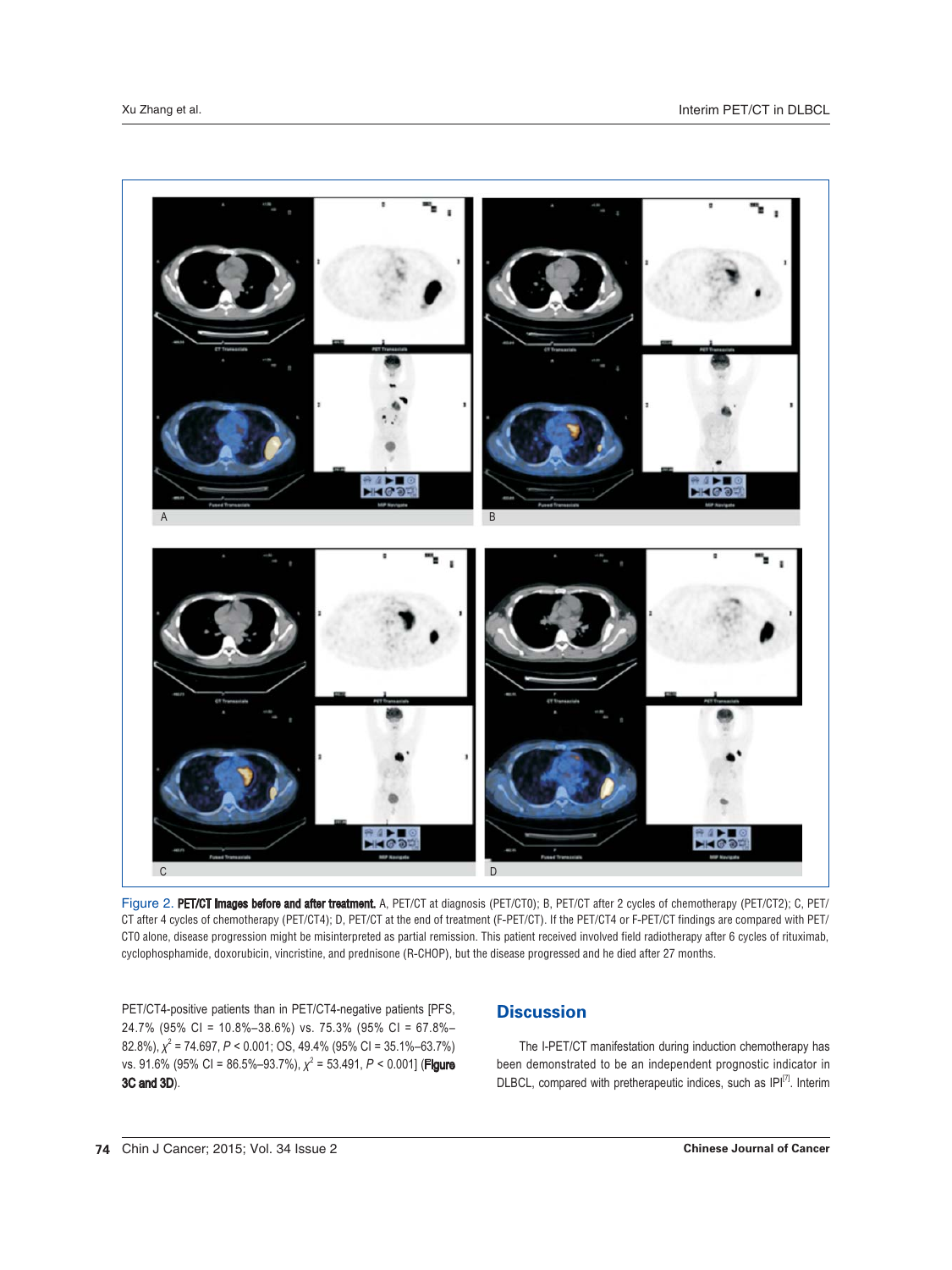

Figure 2. PET/CT images before and after treatment. A, PET/CT at diagnosis (PET/CT0); B, PET/CT after 2 cycles of chemotherapy (PET/CT2); C, PET/ CT after 4 cycles of chemotherapy (PET/CT4); D, PET/CT at the end of treatment (F-PET/CT). If the PET/CT4 or F-PET/CT findings are compared with PET/ CTO alone, disease progression might be misinterpreted as partial remission. This patient received involved field radiotherapy after 6 cycles of rituximab, cyclophosphamide, doxorubicin, vincristine, and prednisone (R-CHOP), but the disease progressed and he died after 27 months.

PET/CT4-positive patients than in PET/CT4-negative patients [PFS, 24.7% (95% CI = 10.8%-38.6%) vs. 75.3% (95% CI = 67.8%-82.8%),  $\chi^2$  = 74.697, P < 0.001; OS, 49.4% (95% CI = 35.1%–63.7%) vs. 91.6% (95% CI = 86.5%-93.7%),  $\chi^2$  = 53.491, P < 0.001] (Figure 3C and 3D).

# **Discussion**

The I-PET/CT manifestation during induction chemotherapy has been demonstrated to be an independent prognostic indicator in DLBCL, compared with pretherapeutic indices, such as IPI<sup>[7]</sup>. Interim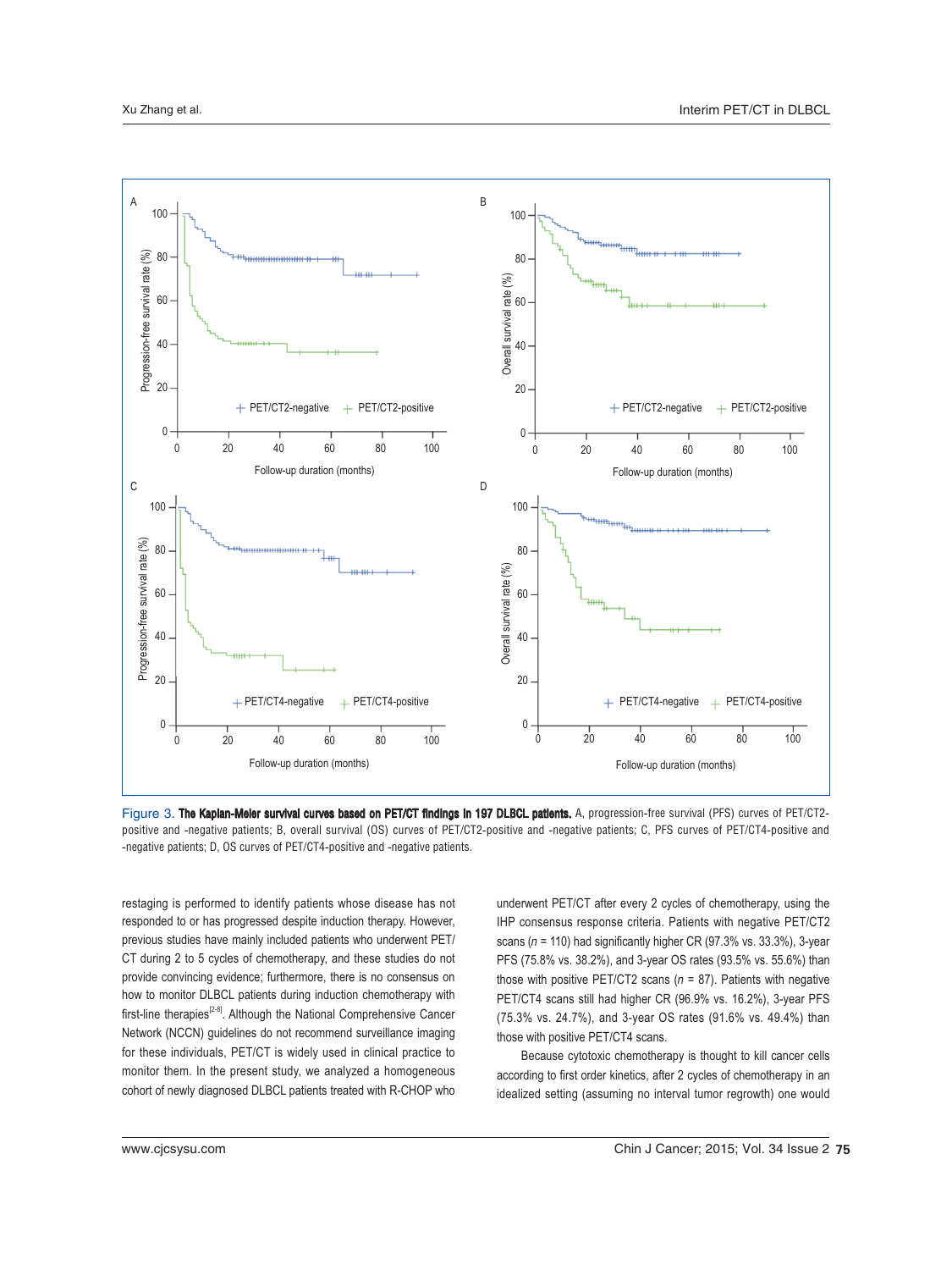

Figure 3. The Kaplan-Meier survival curves based on PET/CT findings in 197 DLBCL patients. A, progression-free survival (PFS) curves of PET/CT2positive and -negative patients; B, overall survival (OS) curves of PET/CT2-positive and -negative patients; C, PFS curves of PET/CT4-positive and -negative patients; D, OS curves of PET/CT4-positive and -negative patients.

restaging is performed to identify patients whose disease has not responded to or has progressed despite induction therapy. However, previous studies have mainly included patients who underwent PET/ CT during 2 to 5 cycles of chemotherapy, and these studies do not provide convincing evidence; furthermore, there is no consensus on how to monitor DLBCL patients during induction chemotherapy with first-line therapies<sup>[2-8]</sup>. Although the National Comprehensive Cancer Network (NCCN) guidelines do not recommend surveillance imaging for these individuals, PET/CT is widely used in clinical practice to monitor them. In the present study, we analyzed a homogeneous cohort of newly diagnosed DLBCL patients treated with R-CHOP who underwent PET/CT after every 2 cycles of chemotherapy, using the IHP consensus response criteria. Patients with negative PET/CT2 scans ( $n = 110$ ) had significantly higher CR (97.3% vs. 33.3%), 3-year PFS (75.8% vs. 38.2%), and 3-year OS rates (93.5% vs. 55.6%) than those with positive PET/CT2 scans ( $n = 87$ ). Patients with negative PET/CT4 scans still had higher CR (96.9% vs. 16.2%), 3-year PFS (75.3% vs. 24.7%), and 3-year OS rates (91.6% vs. 49.4%) than those with positive PET/CT4 scans.

 Because cytotoxic chemotherapy is thought to kill cancer cells according to first order kinetics, after 2 cycles of chemotherapy in an idealized setting (assuming no interval tumor regrowth) one would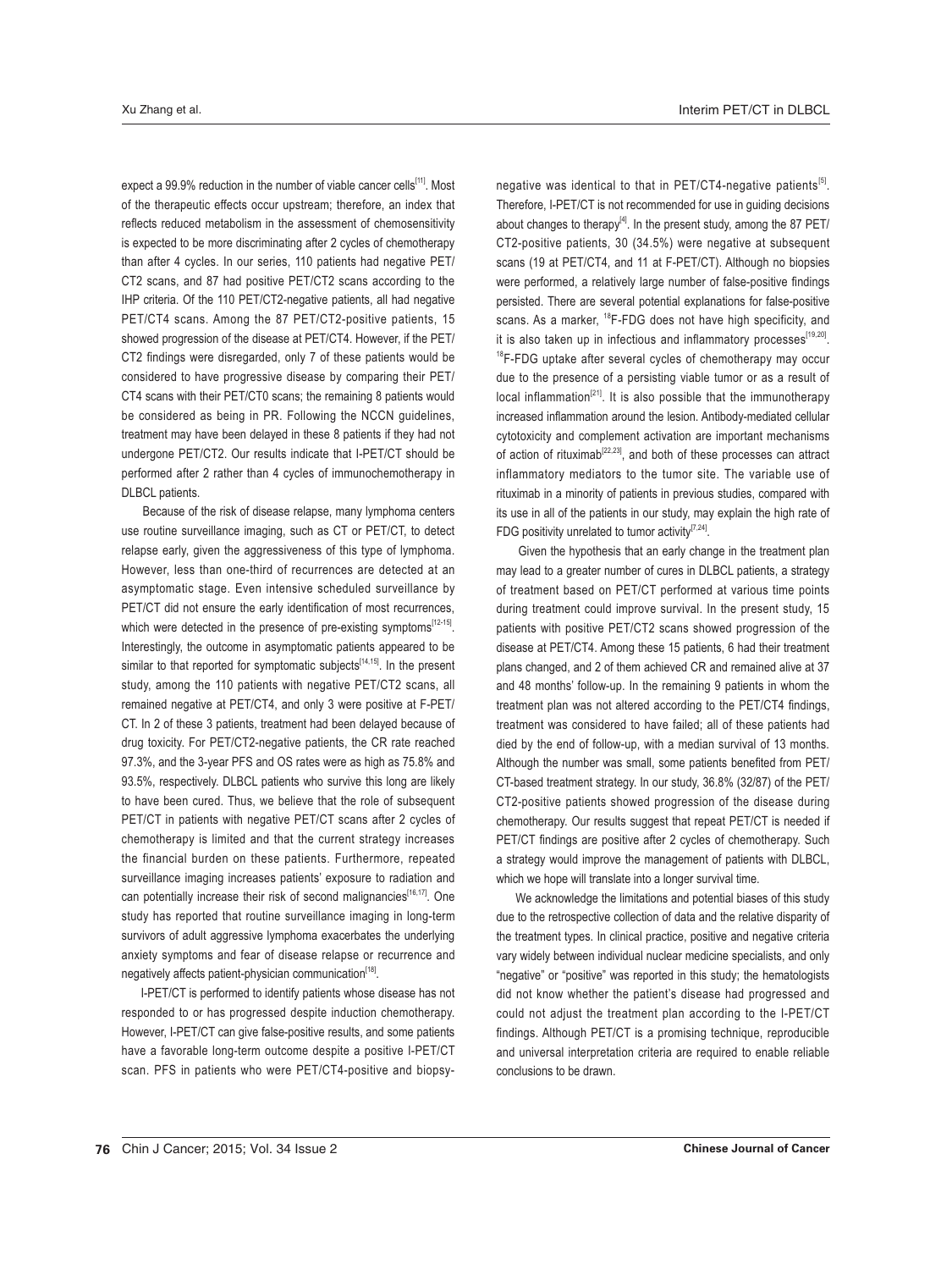expect a 99.9% reduction in the number of viable cancer cells<sup>[11]</sup>. Most of the therapeutic effects occur upstream; therefore, an index that reflects reduced metabolism in the assessment of chemosensitivity is expected to be more discriminating after 2 cycles of chemotherapy than after 4 cycles. In our series, 110 patients had negative PET/ CT2 scans, and 87 had positive PET/CT2 scans according to the IHP criteria. Of the 110 PET/CT2-negative patients, all had negative PET/CT4 scans. Among the 87 PET/CT2-positive patients, 15 showed progression of the disease at PET/CT4. However, if the PET/ CT2 findings were disregarded, only 7 of these patients would be considered to have progressive disease by comparing their PET/ CT4 scans with their PET/CT0 scans; the remaining 8 patients would be considered as being in PR. Following the NCCN guidelines, treatment may have been delayed in these 8 patients if they had not undergone PET/CT2. Our results indicate that I-PET/CT should be performed after 2 rather than 4 cycles of immunochemotherapy in DLBCL patients.

 Because of the risk of disease relapse, many lymphoma centers use routine surveillance imaging, such as CT or PET/CT, to detect relapse early, given the aggressiveness of this type of lymphoma. However, less than one-third of recurrences are detected at an asymptomatic stage. Even intensive scheduled surveillance by PET/CT did not ensure the early identification of most recurrences, which were detected in the presence of pre-existing symptoms<sup>[12-15]</sup>. Interestingly, the outcome in asymptomatic patients appeared to be similar to that reported for symptomatic subjects $[14,15]$ . In the present study, among the 110 patients with negative PET/CT2 scans, all remained negative at PET/CT4, and only 3 were positive at F-PET/ CT. In 2 of these 3 patients, treatment had been delayed because of drug toxicity. For PET/CT2-negative patients, the CR rate reached 97.3%, and the 3-year PFS and OS rates were as high as 75.8% and 93.5%, respectively. DLBCL patients who survive this long are likely to have been cured. Thus, we believe that the role of subsequent PET/CT in patients with negative PET/CT scans after 2 cycles of chemotherapy is limited and that the current strategy increases the financial burden on these patients. Furthermore, repeated surveillance imaging increases patients' exposure to radiation and can potentially increase their risk of second malignancies<sup>[16,17]</sup>. One study has reported that routine surveillance imaging in long-term survivors of adult aggressive lymphoma exacerbates the underlying anxiety symptoms and fear of disease relapse or recurrence and negatively affects patient-physician communication<sup>[18]</sup>.

 I-PET/CT is performed to identify patients whose disease has not responded to or has progressed despite induction chemotherapy. However, I-PET/CT can give false-positive results, and some patients have a favorable long-term outcome despite a positive I-PET/CT scan. PFS in patients who were PET/CT4-positive and biopsynegative was identical to that in PET/CT4-negative patients<sup>[5]</sup>. Therefore, I-PET/CT is not recommended for use in guiding decisions about changes to therapy<sup>[4]</sup>. In the present study, among the 87 PET/ CT2-positive patients, 30 (34.5%) were negative at subsequent scans (19 at PET/CT4, and 11 at F-PET/CT). Although no biopsies were performed, a relatively large number of false-positive findings persisted. There are several potential explanations for false-positive scans. As a marker, <sup>18</sup>F-FDG does not have high specificity, and it is also taken up in infectious and inflammatory processes<sup>[19,20]</sup>.<br><sup>18</sup>F-FDG uptake after several cycles of chemotherapy may occur due to the presence of a persisting viable tumor or as a result of local inflammation<sup>[21]</sup>. It is also possible that the immunotherapy increased inflammation around the lesion. Antibody-mediated cellular cytotoxicity and complement activation are important mechanisms of action of rituximab<sup>[22,23]</sup>, and both of these processes can attract inflammatory mediators to the tumor site. The variable use of rituximab in a minority of patients in previous studies, compared with its use in all of the patients in our study, may explain the high rate of FDG positivity unrelated to tumor activity $[7.24]$ .

 Given the hypothesis that an early change in the treatment plan may lead to a greater number of cures in DLBCL patients, a strategy of treatment based on PET/CT performed at various time points during treatment could improve survival. In the present study, 15 patients with positive PET/CT2 scans showed progression of the disease at PET/CT4. Among these 15 patients, 6 had their treatment plans changed, and 2 of them achieved CR and remained alive at 37 and 48 months' follow-up. In the remaining 9 patients in whom the treatment plan was not altered according to the PET/CT4 findings, treatment was considered to have failed; all of these patients had died by the end of follow-up, with a median survival of 13 months. Although the number was small, some patients benefited from PET/ CT-based treatment strategy. In our study, 36.8% (32/87) of the PET/ CT2-positive patients showed progression of the disease during chemotherapy. Our results suggest that repeat PET/CT is needed if PET/CT findings are positive after 2 cycles of chemotherapy. Such a strategy would improve the management of patients with DLBCL, which we hope will translate into a longer survival time.

 We acknowledge the limitations and potential biases of this study due to the retrospective collection of data and the relative disparity of the treatment types. In clinical practice, positive and negative criteria vary widely between individual nuclear medicine specialists, and only "negative" or "positive" was reported in this study; the hematologists did not know whether the patient's disease had progressed and could not adjust the treatment plan according to the I-PET/CT findings. Although PET/CT is a promising technique, reproducible and universal interpretation criteria are required to enable reliable conclusions to be drawn.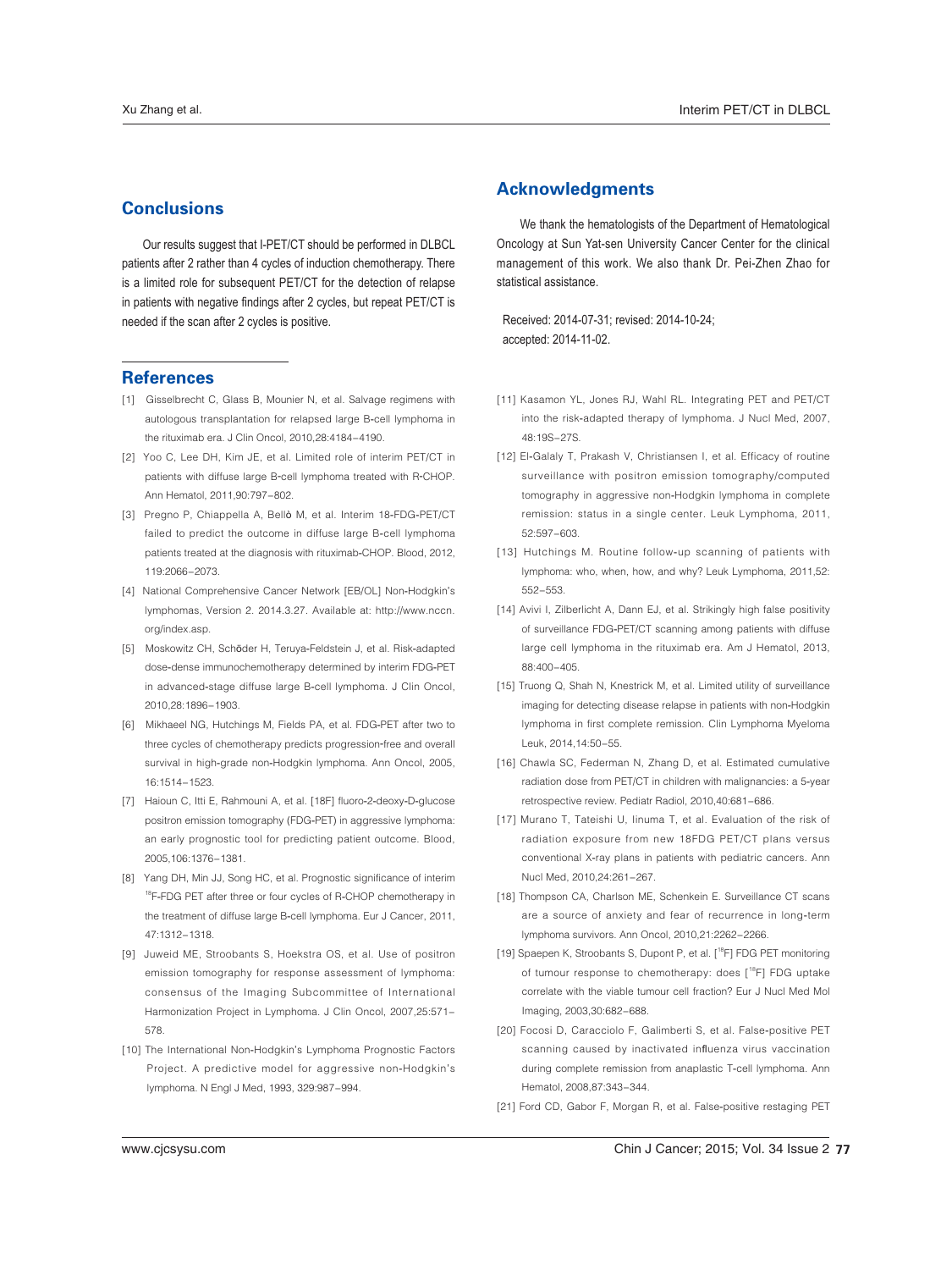# **Conclusions**

Our results suggest that I-PET/CT should be performed in DLBCL patients after 2 rather than 4 cycles of induction chemotherapy. There is a limited role for subsequent PET/CT for the detection of relapse in patients with negative findings after 2 cycles, but repeat PET/CT is needed if the scan after 2 cycles is positive.

## **References**

- [1] Gisselbrecht C, Glass B, Mounier N, et al. Salvage regimens with autologous transplantation for relapsed large B-cell lymphoma in the rituximab era. J Clin Oncol, 2010,28:4184-4190.
- [2] Yoo C, Lee DH, Kim JE, et al. Limited role of interim PET/CT in patients with diffuse large B-cell lymphoma treated with R-CHOP. Ann Hematol, 2011,90:797-802.
- [3] Pregno P, Chiappella A, Bellò M, et al. Interim 18-FDG-PET/CT failed to predict the outcome in diffuse large B-cell lymphoma patients treated at the diagnosis with rituximab-CHOP. Blood, 2012, 119:2066-2073
- [4] National Comprehensive Cancer Network [EB/OL] Non-Hodgkin's lymphomas, Version 2. 2014.3.27. Available at: http://www.nccn. org/index.asp.
- [5] Moskowitz CH, Schöder H, Teruya-Feldstein J, et al. Risk-adapted dose-dense immunochemotherapy determined by interim FDG-PET in advanced-stage diffuse large B-cell lymphoma. J Clin Oncol, 2010,28:1896-1903.
- [6] Mikhaeel NG, Hutchings M, Fields PA, et al. FDG-PET after two to three cycles of chemotherapy predicts progression-free and overall survival in high-grade non-Hodgkin lymphoma. Ann Oncol, 2005, 16:1514-1523
- [7] Haioun C, Itti E, Rahmouni A, et al. [18F] fluoro-2-deoxy-D-glucose positron emission tomography (FDG-PET) in aggressive lymphoma: an early prognostic tool for predicting patient outcome. Blood, 2005, 106: 1376-1381.
- [8] Yang DH, Min JJ, Song HC, et al. Prognostic significance of interim <sup>18</sup>F-FDG PET after three or four cycles of R-CHOP chemotherapy in the treatment of diffuse large B-cell lymphoma. Eur J Cancer, 2011, 47:1312-1318
- [9] Juweid ME, Stroobants S, Hoekstra OS, et al. Use of positron emission tomography for response assessment of lymphoma: consensus of the Imaging Subcommittee of International Harmonization Project in Lymphoma. J Clin Oncol, 2007,25:571-578
- [10] The International Non-Hodgkin's Lymphoma Prognostic Factors Project. A predictive model for aggressive non-Hodgkin's lymphoma. N Engl J Med, 1993, 329:987-994.

## **Acknowledgments**

We thank the hematologists of the Department of Hematological Oncology at Sun Yat-sen University Cancer Center for the clinical management of this work. We also thank Dr. Pei-Zhen Zhao for statistical assistance.

Received: 2014-07-31; revised: 2014-10-24; accepted: 2014-11-02.

- [11] Kasamon YL, Jones RJ, Wahl RL, Integrating PET and PET/CT into the risk-adapted therapy of lymphoma. J Nucl Med, 2007, 48:19S-27S.
- [12] El-Galaly T, Prakash V, Christiansen I, et al. Efficacy of routine surveillance with positron emission tomography/computed tomography in aggressive non-Hodgkin lymphoma in complete remission: status in a single center. Leuk Lymphoma, 2011,  $52:597 - 603$
- [13] Hutchings M. Routine follow-up scanning of patients with lymphoma: who, when, how, and why? Leuk Lymphoma, 2011,52: 552-553
- [14] Avivi I, Zilberlicht A, Dann EJ, et al. Strikingly high false positivity of surveillance FDG-PET/CT scanning among patients with diffuse large cell lymphoma in the rituximab era. Am J Hematol, 2013, 88:400-405
- [15] Truong Q, Shah N, Knestrick M, et al. Limited utility of surveillance imaging for detecting disease relapse in patients with non-Hodgkin lymphoma in first complete remission. Clin Lymphoma Myeloma Leuk 2014 14:50-55
- [16] Chawla SC, Federman N, Zhang D, et al. Estimated cumulative radiation dose from PET/CT in children with malignancies: a 5-year retrospective review. Pediatr Radiol, 2010,40:681-686.
- [17] Murano T, Tateishi U, linuma T, et al. Evaluation of the risk of radiation exposure from new 18FDG PET/CT plans versus conventional X-ray plans in patients with pediatric cancers. Ann Nucl Med, 2010, 24: 261-267.
- [18] Thompson CA, Charlson ME, Schenkein E. Surveillance CT scans are a source of anxiety and fear of recurrence in long-term lymphoma survivors. Ann Oncol, 2010,21:2262-2266.
- [19] Spaepen K, Stroobants S, Dupont P, et al. [<sup>18</sup>F] FDG PET monitoring of tumour response to chemotherapy: does [<sup>18</sup>F] FDG uptake correlate with the viable tumour cell fraction? Eur J Nucl Med Mol Imaging, 2003,30:682-688.
- [20] Focosi D, Caracciolo F, Galimberti S, et al. False-positive PET scanning caused by inactivated influenza virus vaccination during complete remission from anaplastic T-cell lymphoma. Ann Hematol, 2008, 87: 343-344.
- [21] Ford CD, Gabor F, Morgan R, et al. False-positive restaging PET